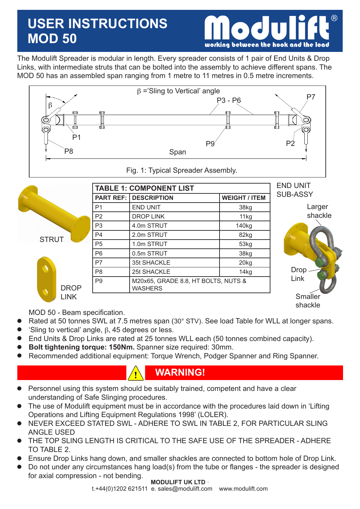# **USER INSTRUCTIONS MOD 50**



The Modulift Spreader is modular in length. Every spreader consists of 1 pair of End Units & Drop Links, with intermediate struts that can be bolted into the assembly to achieve different spans. The MOD 50 has an assembled span ranging from 1 metre to 11 metres in 0.5 metre increments.



|              |                  | <b>TABLE 1: COMPONENT LIST</b>                        |                      |                 |  |  |
|--------------|------------------|-------------------------------------------------------|----------------------|-----------------|--|--|
|              | <b>PART REF:</b> | <b>DESCRIPTION</b>                                    | <b>WEIGHT / ITEM</b> | <b>SUB-ASSY</b> |  |  |
|              | P <sub>1</sub>   | <b>END UNIT</b>                                       | 38kg                 | Larger          |  |  |
|              | P <sub>2</sub>   | <b>DROP LINK</b>                                      | 11kg                 | shackle         |  |  |
|              | P <sub>3</sub>   | 4.0m STRUT                                            | 140 <sub>kg</sub>    |                 |  |  |
| <b>STRUT</b> | P <sub>4</sub>   | 2.0m STRUT                                            | 82kg                 |                 |  |  |
|              | P <sub>5</sub>   | 1.0m STRUT                                            | 53kg                 |                 |  |  |
|              | P <sub>6</sub>   | 0.5m STRUT                                            | 38kg                 |                 |  |  |
|              | P7               | 35t SHACKLE                                           | 20kg                 |                 |  |  |
|              | P <sub>8</sub>   | 25t SHACKLE                                           | 14 <sub>kg</sub>     | <b>Drop</b>     |  |  |
| <b>DROP</b>  | P <sub>9</sub>   | M20x65, GRADE 8.8, HT BOLTS, NUTS &<br><b>WASHERS</b> |                      | Link            |  |  |
| <b>LINK</b>  |                  |                                                       |                      | Smaller         |  |  |
|              |                  |                                                       |                      | shackle         |  |  |

MOD 50 - Beam specification.

- Rated at 50 tonnes SWL at 7.5 metres span (30° STV). See load Table for WLL at longer spans.  $\bullet$
- 'Sling to vertical' angle,  $\beta$ , 45 degrees or less.  $\bullet$
- End Units & Drop Links are rated at 25 tonnes WLL each (50 tonnes combined capacity).  $\bullet$
- **Bolt tightening torque: 150Nm.** Spanner size required: 30mm.  $\bullet$
- Recommended additional equipment: Torque Wrench, Podger Spanner and Ring Spanner.  $\bullet$

## **WARNING!**

- Personnel using this system should be suitably trained, competent and have a clear understanding of Safe Slinging procedures.  $\bullet$
- The use of Modulift equipment must be in accordance with the procedures laid down in 'Lifting Operations and Lifting Equipment Regulations 1998' (LOLER).  $\bullet$
- NEVER EXCEED STATED SWL ADHERE TO SWL IN TABLE 2, FOR PARTICULAR SLING ANGLE USED  $\bullet$
- THE TOP SLING LENGTH IS CRITICAL TO THE SAFE USE OF THE SPREADER ADHERE TO TABLE 2.  $\bullet$
- Ensure Drop Links hang down, and smaller shackles are connected to bottom hole of Drop Link.  $\bullet$
- Do not under any circumstances hang load(s) from the tube or flanges the spreader is designed for axial compression - not bending.  $\bullet$